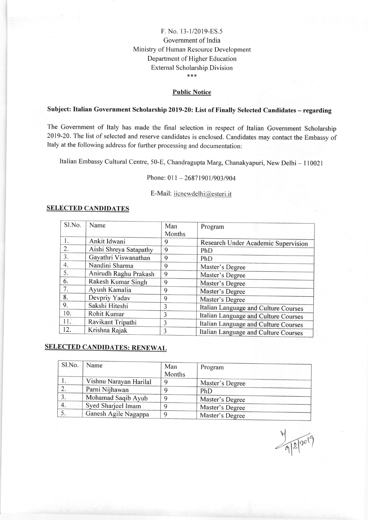## F. No. 13-1/2019-ES.5 Government of India Ministry of Human Resource Developrnent Departrnent of Higher Education External Scholarship Division \*\*\*

#### Public Notice

# Subject: Italian Government Scholarship 2019-20: List of Finally Selected Candidates - regarding

The Government of Italy has made the final selection in respect of Italian Government Scholarship 2019-20. The list of selected and reserve candidates is enclosed. Candidates may contact the Embassy of Italy at the following address for fufther processing and documentation:

Italian Embassy Cultural Centre, 50-E, Chandragupta Marg, Chanakyapuri, New Delhi - 110021

Phone: 011 - 26871901/903/904

E-Mail: iicnewdelhi@esteri.it

#### SELECTED CANDIDATES

| Sl.No. | Name                   | Man<br>Months | Program                              |
|--------|------------------------|---------------|--------------------------------------|
| 1.     | Ankit Idwani           | 9             | Research Under Academic Supervision  |
| 2.     | Aishi Shreya Satapathy | 9             | PhD                                  |
| 3.     | Gayathri Viswanathan   | 9             | PhD                                  |
| 4.     | Nandini Sharma         | 9             | Master's Degree                      |
| 5.     | Anirudh Raghu Prakash  | 9             | Master's Degree                      |
| 6.     | Rakesh Kumar Singh     | 9             | Master's Degree                      |
| 7.     | Ayush Kamalia          | 9             | Master's Degree                      |
| 8.     | Devpriy Yadav          | 9             | Master's Degree                      |
| 9.     | Sakshi Hiteshi         | 3             | Italian Language and Culture Courses |
| 10.    | Rohit Kumar            | 3             | Italian Language and Culture Courses |
| 11.    | Ravikant Tripathi      | 3             | Italian Language and Culture Courses |
| 12.    | Krishna Rajak          | 3             | Italian Language and Culture Courses |

## **SELECTED CANDIDATES: RENEWAL**

| Sl.No. | Name                   | Man<br>Months | Program         |
|--------|------------------------|---------------|-----------------|
| .,     | Vishnu Narayan Harilal |               | Master's Degree |
|        | Parni Nijhawan         |               | PhD             |
| 3.     | Mohamad Saqib Ayub     |               | Master's Degree |
| 4.     | Syed Sharjeel Imam     |               | Master's Degree |
|        | Ganesh Agile Nagappa   |               | Master's Degree |

9/8/2019